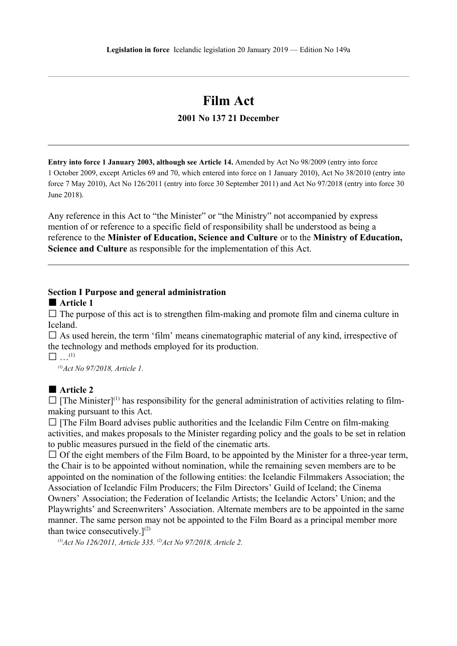# **Film Act**

## **2001 No 137 21 December**

**Entry into force 1 January 2003, although see Article 14.** Amended by Act No 98/2009 (entry into force 1 October 2009, except Articles 69 and 70, which entered into force on 1 January 2010), Act No 38/2010 (entry into force 7 May 2010), Act No 126/2011 (entry into force 30 September 2011) and Act No 97/2018 (entry into force 30 June 2018).

Any reference in this Act to "the Minister" or "the Ministry" not accompanied by express mention of or reference to a specific field of responsibility shall be understood as being a reference to the **Minister of Education, Science and Culture** or to the **Ministry of Education, Science and Culture** as responsible for the implementation of this Act.

#### **Section I Purpose and general administration**

#### **■ Article 1**

 $\square$  The purpose of this act is to strengthen film-making and promote film and cinema culture in Iceland.

 $\square$  As used herein, the term 'film' means cinematographic material of any kind, irrespective of the technology and methods employed for its production.

 $\square$   $\dots^{(1)}$ 

*(1)Act No 97/2018, Article 1.*

#### **■ Article 2**

 $\square$  [The Minister]<sup>(1)</sup> has responsibility for the general administration of activities relating to filmmaking pursuant to this Act.

 $\square$  [The Film Board advises public authorities and the Icelandic Film Centre on film-making activities, and makes proposals to the Minister regarding policy and the goals to be set in relation to public measures pursued in the field of the cinematic arts.

 $\Box$  Of the eight members of the Film Board, to be appointed by the Minister for a three-year term, the Chair is to be appointed without nomination, while the remaining seven members are to be appointed on the nomination of the following entities: the Icelandic Filmmakers Association; the Association of Icelandic Film Producers; the Film Directors' Guild of Iceland; the Cinema Owners' Association; the Federation of Icelandic Artists; the Icelandic Actors' Union; and the Playwrights' and Screenwriters' Association. Alternate members are to be appointed in the same manner. The same person may not be appointed to the Film Board as a principal member more than twice consecutively. $]^{(2)}$ 

*(1)Act No 126/2011, Article 335. (2)Act No 97/2018, Article 2.*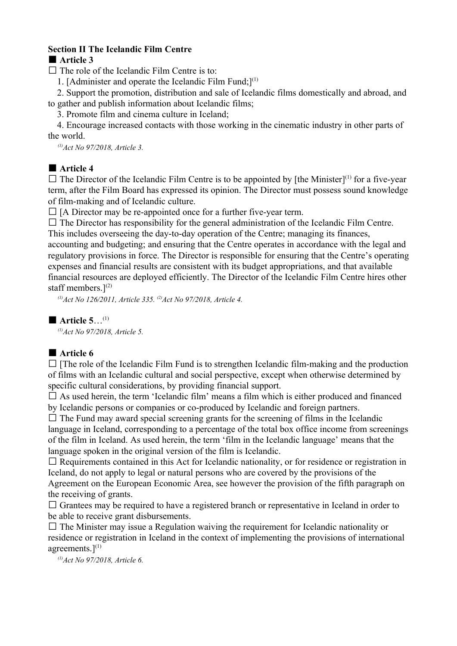## **Section II The Icelandic Film Centre**

#### **■ Article 3**

 $\square$  The role of the Icelandic Film Centre is to:

1. [Administer and operate the Icelandic Film Fund; $I^{(1)}$ 

2. Support the promotion, distribution and sale of Icelandic films domestically and abroad, and to gather and publish information about Icelandic films;

3. Promote film and cinema culture in Iceland;

4. Encourage increased contacts with those working in the cinematic industry in other parts of the world.

*(1)Act No 97/2018, Article 3.*

# ■ **Article 4**

 $\square$  The Director of the Icelandic Film Centre is to be appointed by [the Minister]<sup>(1)</sup> for a five-year term, after the Film Board has expressed its opinion. The Director must possess sound knowledge of film-making and of Icelandic culture.

 $\Box$  [A Director may be re-appointed once for a further five-year term.

 $\Box$  The Director has responsibility for the general administration of the Icelandic Film Centre.

This includes overseeing the day-to-day operation of the Centre; managing its finances, accounting and budgeting; and ensuring that the Centre operates in accordance with the legal and regulatory provisions in force. The Director is responsible for ensuring that the Centre's operating expenses and financial results are consistent with its budget appropriations, and that available financial resources are deployed efficiently. The Director of the Icelandic Film Centre hires other staff members. $]^{(2)}$ 

*(1)Act No 126/2011, Article 335. (2)Act No 97/2018, Article 4.*

**■ Article 5**…(1)

*(1)Act No 97/2018, Article 5.*

## **■ Article 6**

 $\Box$  [The role of the Icelandic Film Fund is to strengthen Icelandic film-making and the production of films with an Icelandic cultural and social perspective, except when otherwise determined by specific cultural considerations, by providing financial support.

 $\square$  As used herein, the term 'Icelandic film' means a film which is either produced and financed by Icelandic persons or companies or co-produced by Icelandic and foreign partners.

 $\square$  The Fund may award special screening grants for the screening of films in the Icelandic language in Iceland, corresponding to a percentage of the total box office income from screenings of the film in Iceland. As used herein, the term 'film in the Icelandic language' means that the language spoken in the original version of the film is Icelandic.

 $\Box$  Requirements contained in this Act for Icelandic nationality, or for residence or registration in Iceland, do not apply to legal or natural persons who are covered by the provisions of the Agreement on the European Economic Area, see however the provision of the fifth paragraph on the receiving of grants.

 $\square$  Grantees may be required to have a registered branch or representative in Iceland in order to be able to receive grant disbursements.

 $\square$  The Minister may issue a Regulation waiving the requirement for Icelandic nationality or residence or registration in Iceland in the context of implementing the provisions of international agreements. $]^{(1)}$ 

*(1)Act No 97/2018, Article 6.*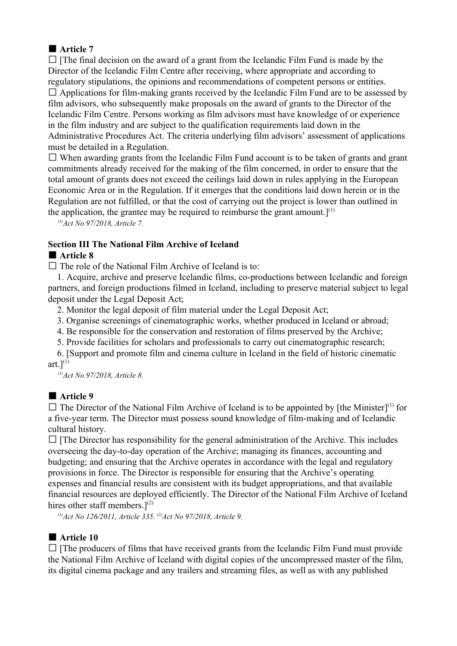# **■ Article 7**

 $\Box$  [The final decision on the award of a grant from the Icelandic Film Fund is made by the Director of the Icelandic Film Centre after receiving, where appropriate and according to regulatory stipulations, the opinions and recommendations of competent persons or entities.  $\Box$  Applications for film-making grants received by the Icelandic Film Fund are to be assessed by film advisors, who subsequently make proposals on the award of grants to the Director of the Icelandic Film Centre. Persons working as film advisors must have knowledge of or experience in the film industry and are subject to the qualification requirements laid down in the Administrative Procedures Act. The criteria underlying film advisors' assessment of applications must be detailed in a Regulation.

 $\Box$  When awarding grants from the Icelandic Film Fund account is to be taken of grants and grant commitments already received for the making of the film concerned, in order to ensure that the total amount of grants does not exceed the ceilings laid down in rules applying in the European Economic Area or in the Regulation. If it emerges that the conditions laid down herein or in the Regulation are not fulfilled, or that the cost of carrying out the project is lower than outlined in the application, the grantee may be required to reimburse the grant amount.]<sup>(1)</sup>

*(1)Act No 97/2018, Article 7.*

## **Section III The National Film Archive of Iceland**

## **■ Article 8**

 $\Box$  The role of the National Film Archive of Iceland is to:

1. Acquire, archive and preserve Icelandic films, co-productions between Icelandic and foreign partners, and foreign productions filmed in Iceland, including to preserve material subject to legal deposit under the Legal Deposit Act;

2. Monitor the legal deposit of film material under the Legal Deposit Act;

3. Organise screenings of cinematographic works, whether produced in Iceland or abroad;

4. Be responsible for the conservation and restoration of films preserved by the Archive;

5. Provide facilities for scholars and professionals to carry out cinematographic research;

6. [Support and promote film and cinema culture in Iceland in the field of historic cinematic art. $]^{(1)}$ 

*(1)Act No 97/2018, Article 8.*

## **■ Article 9**

 $\square$  The Director of the National Film Archive of Iceland is to be appointed by [the Minister]<sup>(1)</sup> for a five-year term. The Director must possess sound knowledge of film-making and of Icelandic cultural history.

 $\Box$  [The Director has responsibility for the general administration of the Archive. This includes overseeing the day-to-day operation of the Archive; managing its finances, accounting and budgeting; and ensuring that the Archive operates in accordance with the legal and regulatory provisions in force. The Director is responsible for ensuring that the Archive's operating expenses and financial results are consistent with its budget appropriations, and that available financial resources are deployed efficiently. The Director of the National Film Archive of Iceland hires other staff members. $]^{(2)}$ 

*(1)Act No 126/2011, Article 335. (2)Act No 97/2018, Article 9.*

# **■ Article 10**

 $\Box$  [The producers of films that have received grants from the Icelandic Film Fund must provide the National Film Archive of Iceland with digital copies of the uncompressed master of the film, its digital cinema package and any trailers and streaming files, as well as with any published